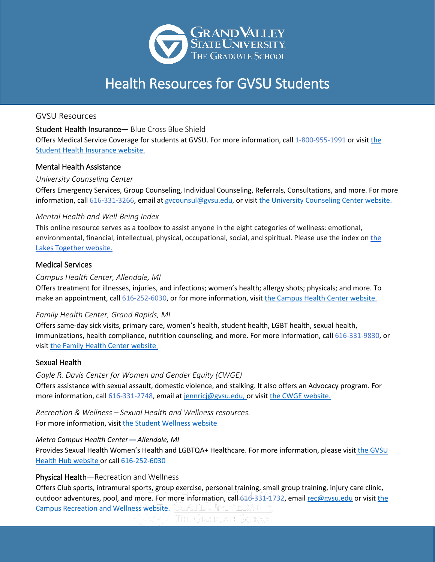

GVSU Resources

Student Health Insurance— Blue Cross Blue Shield

Offers Medical Service Coverage for students at GVSU. For more information, call 1-800-955-1991 or visit [the](https://www.gvsu.edu/campushealth/student-health-insurance-23.htm) [Student Health Insurance](https://www.gvsu.edu/campushealth/student-health-insurance-23.htm) website.

## Mental Health Assistance

## *University Counseling Center*

Offers Emergency Services, Group Counseling, Individual Counseling, Referrals, Consultations, and more. For more information, call 616-331-3266, email at gycounsul@gysu.edu, or visit the [University Counseling Center](https://www.gvsu.edu/counsel/) website.

## *Mental Health and Well-Being Index*

This online resource serves as a toolbox to assist anyone in the eight categories of wellness: emotional, environmental, financial, intellectual, physical, occupational, social, and spiritual. Please use [the](http://www.gvsu.edu/lakerstogether/mentalhealth-index.htm#/) index on the [Lakes Together website.](http://www.gvsu.edu/lakerstogether/mentalhealth-index.htm#/)

## Medical Services

## *Campus Health Center, Allendale, MI*

Offers treatment for illnesses, injuries, and infections; women's health; allergy shots; physicals; and more. To make an appointment, call 616-252-6030, or for more information, visit the [Campus Health Center](https://www.gvsu.edu/campushealth/campus-health-center-services-6.htm) website.

## *Family Health Center, Grand Rapids, MI*

Offers same-day sick visits, primary care, women's health, student health, LGBT health, sexual health, immunizations, health compliance, nutrition counseling, and more. For more information, call 616-331-9830, or visit the [Family Health Center](https://www.gvsu.edu/fhc/) website.

## Sexual Health

*Gayle R. Davis Center for Women and Gender Equity (CWGE)* Offers assistance with sexual assault, domestic violence, and stalking. It also offers an Advocacy program. For more information, call 616-331-2748, email at [jennricj@gvsu.edu,](mailto:jennricj@gvsu.edu) or visit the CWGE [website.](https://www.gvsu.edu/cwge/victim-advocacy-20.htm)

*Recreation & Wellness – Sexual Health and Wellness resources.*  For more information, visit [the Student Wellness website](https://www.gvsu.edu/studentwellness/the-facts-about-sexual-health-38.htm) 

*Metro Campus Health Center*— *Allendale, MI* Provides Sexual Health Women's Health and LGBTQA+ Healthcare. For more information, please visit the GVSU [Health Hub website](http://www.gvsu.edu/campushealth) or call 616-252-6030

## Physical Health—Recreation and Wellness

Offers Club sports, intramural sports, group exercise, personal training, small group training, injury care clinic, outdoor adventures, pool, and more. For more information, call 616-331-1732, emai[l rec@gvsu.edu](mailto:rec@gvsu.edu) or visit the [Campus Recreation and Wellness website.](https://www.gvsu.edu/rec/) STATTE UNITY ERSITY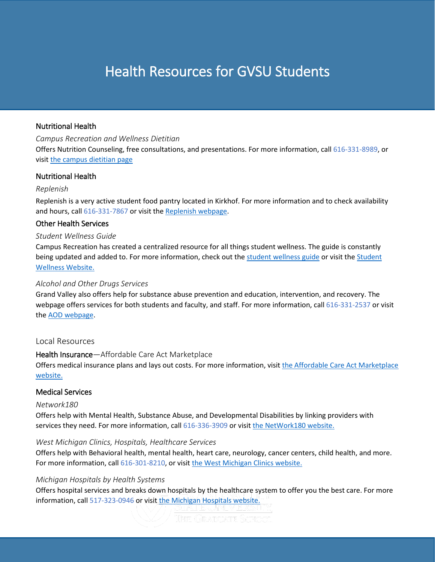## Nutritional Health

*Campus Recreation and Wellness Dietitian*

Offers Nutrition Counseling, free consultations, and presentations. For more information, call 616-331-8989, or visit [the campus dietitian page](https://www.gvsu.edu/campusdine/nutrition-9.htm)

## Nutritional Health

## *Replenish*

Replenish is a very active student food pantry located in Kirkhof. For more information and to check availability and hours, call 616-331-7867 or visit the [Replenish webpage.](https://www.gvsu.edu/replenish/)

## Other Health Services

## *Student Wellness Guide*

Campus Recreation has created a centralized resource for all things student wellness. The guide is constantly being updated and added to. For more information, check out the [student wellness guide](https://www.gvsu.edu/cms4/asset/8B8304A5-0573-4A94-1AFD05012B311ABD/student_wellness_guide_d13-final_reduced.pdf) or visit the Student [Wellness Website.](https://www.gvsu.edu/studentwellness/) 

## *Alcohol and Other Drugs Services*

Grand Valley also offers help for substance abuse prevention and education, intervention, and recovery. The webpage offers services for both students and faculty, and staff. For more information, call 616-331-2537 or visit the [AOD webpage.](https://www.gvsu.edu/aod/)

## Local Resources

## Health Insurance—Affordable Care Act Marketplace

Offers medical insurance plans and lays out costs. For more information, visit the [Affordable Care Act Marketplace](https://www.healthcare.gov/) [website.](https://www.healthcare.gov/)

## Medical Services

## *Network180*

Offers help with Mental Health, Substance Abuse, and Developmental Disabilities by linking providers with services they need. For more information, call 616-336-3909 or visit the [NetWork180](http://www.network180.org/images/Additional_Links/Network180-Provider-Directory-101018.pdf) website.

## *West Michigan Clinics, Hospitals, Healthcare Services*

Offers help with Behavioral health, mental health, heart care, neurology, cancer centers, child health, and more. For more information, call 616-301-8210, or visit the [West Michigan Clinics](https://hellowestmichigan.com/why-west-michigan/healthcare-2/) website.

## *Michigan Hospitals by Health Systems*

Offers hospital services and breaks down hospitals by the healthcare system to offer you the best care. For more information, call 517-323-0946 or visit the [Michigan Hospitals website.](https://www.mha.org/About/Our-Hospitals/Michigan-Hospitals-By-Health-System)

Thie Graduatie School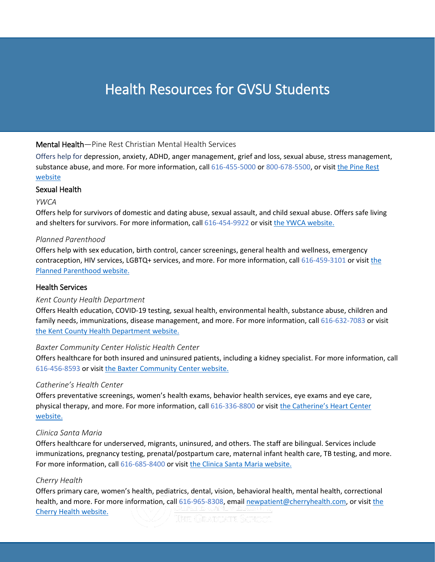## Mental Health—Pine Rest Christian Mental Health Services

Offers help for depression, anxiety, ADHD, anger management, grief and loss, sexual abuse, stress management, substance abuse, and more. For more information, call 616-455-5000 or 800-678-5500, or visit the [Pine Rest](https://www.pinerest.org/services/counseling-outpatient-services/) [website](https://www.pinerest.org/services/counseling-outpatient-services/)

## Sexual Health

## *YWCA*

j

Offers help for survivors of domestic and dating abuse, sexual assault, and child sexual abuse. Offers safe living and shelters for survivors. For more information, call 616-454-9922 or visit the YWCA [website.](https://www.ywcawcmi.org/welcome/)

## *Planned Parenthood*

Offers help with sex education, birth control, cancer screenings, general health and wellness, emergency contraception, HIV services, LGBTQ+ services, and more. For more information, call 616-459-3101 or visit [the](https://www.plannedparenthood.org/health-center/michigan/grand-rapids/49503/irwinmartin-health-center-3295-90630) [Planned Parenthood](https://www.plannedparenthood.org/health-center/michigan/grand-rapids/49503/irwinmartin-health-center-3295-90630) website.

## Health Services

## *Kent County Health Department*

Offers Health education, COVID-19 testing, sexual health, environmental health, substance abuse, children and family needs, immunizations, disease management, and more. For more information, call 616-632-7083 or visit the [Kent County Health Department website.](https://www.accesskent.com/Health/)

## *Baxter Community Center Holistic Health Center*

Offers healthcare for both insured and uninsured patients, including a kidney specialist. For more information, call 616-456-8593 or visit the [Baxter Community Center](http://www.wearebaxter.org/clinic/) website.

## *Catherine's Health Center*

Offers preventative screenings, women's health exams, behavior health services, eye exams and eye care, physical therapy, and more. For more information, call 616-336-8800 or visit the [Catherine's Heart Center](https://catherineshc.org/) [website.](https://catherineshc.org/)

## *Clinica Santa Maria*

Offers healthcare for underserved, migrants, uninsured, and others. The staff are bilingual. Services include immunizations, pregnancy testing, prenatal/postpartum care, maternal infant health care, TB testing, and more. For more information, call 616-685-8400 or visit the [Clinica Santa Maria website.](https://www.mercyhealth.com/location/clinica-santa-maria)

## *Cherry Health*

Offers primary care, women's health, pediatrics, dental, vision, behavioral health, mental health, correctional health, and more. For more information, call 616-965-8308, email <u>newpatient@cherryhealth.com</u>, or visit <u>the</u><br>Cherry Health website [Cherry Health](https://www.cherryhealth.org/) website.